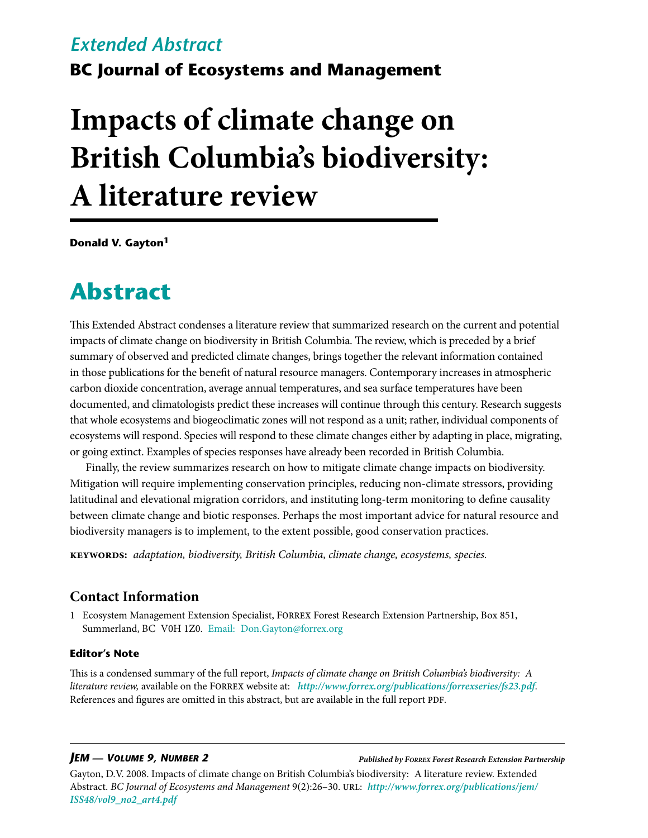# *Extended Abstract*

**BC Journal of Ecosystems and Management**

# **Impacts of climate change on British Columbia's biodiversity: A literature review**

**Donald V. Gayton1**

# **Abstract**

This Extended Abstract condenses a literature review that summarized research on the current and potential impacts of climate change on biodiversity in British Columbia. The review, which is preceded by a brief summary of observed and predicted climate changes, brings together the relevant information contained in those publications for the benefit of natural resource managers. Contemporary increases in atmospheric carbon dioxide concentration, average annual temperatures, and sea surface temperatures have been documented, and climatologists predict these increases will continue through this century. Research suggests that whole ecosystems and biogeoclimatic zones will not respond as a unit; rather, individual components of ecosystems will respond. Species will respond to these climate changes either by adapting in place, migrating, or going extinct. Examples of species responses have already been recorded in British Columbia.

Finally, the review summarizes research on how to mitigate climate change impacts on biodiversity. Mitigation will require implementing conservation principles, reducing non-climate stressors, providing latitudinal and elevational migration corridors, and instituting long-term monitoring to define causality between climate change and biotic responses. Perhaps the most important advice for natural resource and biodiversity managers is to implement, to the extent possible, good conservation practices.

**keywords:** *adaptation, biodiversity, British Columbia, climate change, ecosystems, species.*

# **Contact Information**

1 Ecosystem Management Extension Specialist, Forrex Forest Research Extension Partnership, Box 851, Summerland, BC V0H 1Z0. Email: [Don.Gayton@forrex.org](mailto:Don.Gayton@forrex.org)

#### **Editor's Note**

This is a condensed summary of the full report, *Impacts of climate change on British Columbia's biodiversity: A literature review,* available on the Forrex website at: *<http://www.forrex.org/publications/forrexseries/fs23.pdf>*. References and figures are omitted in this abstract, but are available in the full report PDF.

#### *JEM — Volume 9, Number 2*

*Published by Forrex Forest Research Extension Partnership*

Gayton, D.V. 2008. Impacts of climate change on British Columbia's biodiversity: A literature review. Extended Abstract. *BC Journal of Ecosystems and Management* 9(2):26–30. url: *[http://www.forrex.org/publications/jem/](http://www.forrex.org/publications/jem/ISS48/vol9_no2_art4.pdf ) [ISS48/vol9\\_no2\\_art4.pdf](http://www.forrex.org/publications/jem/ISS48/vol9_no2_art4.pdf )*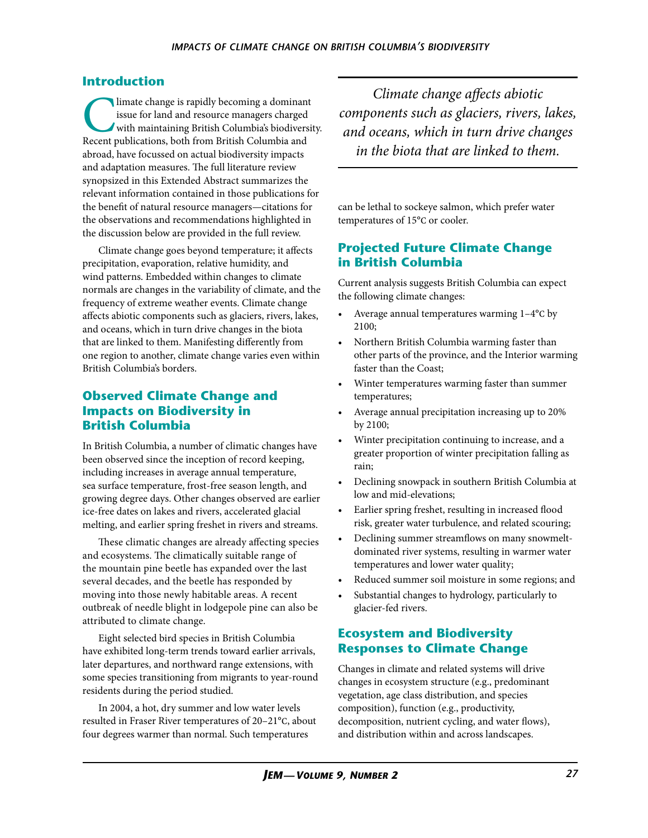### **Introduction**

Imate change is rapidly becoming a dominant<br>issue for land and resource managers charged<br>with maintaining British Columbia's biodiversi<br>Recent publications, both from British Columbia and issue for land and resource managers charged with maintaining British Columbia's biodiversity. Recent publications, both from British Columbia and abroad, have focussed on actual biodiversity impacts and adaptation measures. The full literature review synopsized in this Extended Abstract summarizes the relevant information contained in those publications for the benefit of natural resource managers—citations for the observations and recommendations highlighted in the discussion below are provided in the full review.

Climate change goes beyond temperature; it affects precipitation, evaporation, relative humidity, and wind patterns. Embedded within changes to climate normals are changes in the variability of climate, and the frequency of extreme weather events. Climate change affects abiotic components such as glaciers, rivers, lakes, and oceans, which in turn drive changes in the biota that are linked to them. Manifesting differently from one region to another, climate change varies even within British Columbia's borders.

#### **Observed Climate Change and Impacts on Biodiversity in British Columbia**

In British Columbia, a number of climatic changes have been observed since the inception of record keeping, including increases in average annual temperature, sea surface temperature, frost-free season length, and growing degree days. Other changes observed are earlier ice-free dates on lakes and rivers, accelerated glacial melting, and earlier spring freshet in rivers and streams.

These climatic changes are already affecting species and ecosystems. The climatically suitable range of the mountain pine beetle has expanded over the last several decades, and the beetle has responded by moving into those newly habitable areas. A recent outbreak of needle blight in lodgepole pine can also be attributed to climate change.

Eight selected bird species in British Columbia have exhibited long-term trends toward earlier arrivals, later departures, and northward range extensions, with some species transitioning from migrants to year-round residents during the period studied.

In 2004, a hot, dry summer and low water levels resulted in Fraser River temperatures of 20–21°c, about four degrees warmer than normal. Such temperatures

*Climate change affects abiotic components such as glaciers, rivers, lakes, and oceans, which in turn drive changes in the biota that are linked to them.* 

can be lethal to sockeye salmon, which prefer water temperatures of 15°c or cooler.

### **Projected Future Climate Change in British Columbia**

Current analysis suggests British Columbia can expect the following climate changes:

- Average annual temperatures warming  $1-4$ °C by 2100;
- Northern British Columbia warming faster than other parts of the province, and the Interior warming faster than the Coast;
- • Winter temperatures warming faster than summer temperatures;
- Average annual precipitation increasing up to 20% by 2100;
- Winter precipitation continuing to increase, and a greater proportion of winter precipitation falling as rain;
- Declining snowpack in southern British Columbia at low and mid-elevations;
- • Earlier spring freshet, resulting in increased flood risk, greater water turbulence, and related scouring;
- Declining summer streamflows on many snowmeltdominated river systems, resulting in warmer water temperatures and lower water quality;
- Reduced summer soil moisture in some regions; and
- Substantial changes to hydrology, particularly to glacier-fed rivers.

### **Ecosystem and Biodiversity Responses to Climate Change**

Changes in climate and related systems will drive changes in ecosystem structure (e.g., predominant vegetation, age class distribution, and species composition), function (e.g., productivity, decomposition, nutrient cycling, and water flows), and distribution within and across landscapes.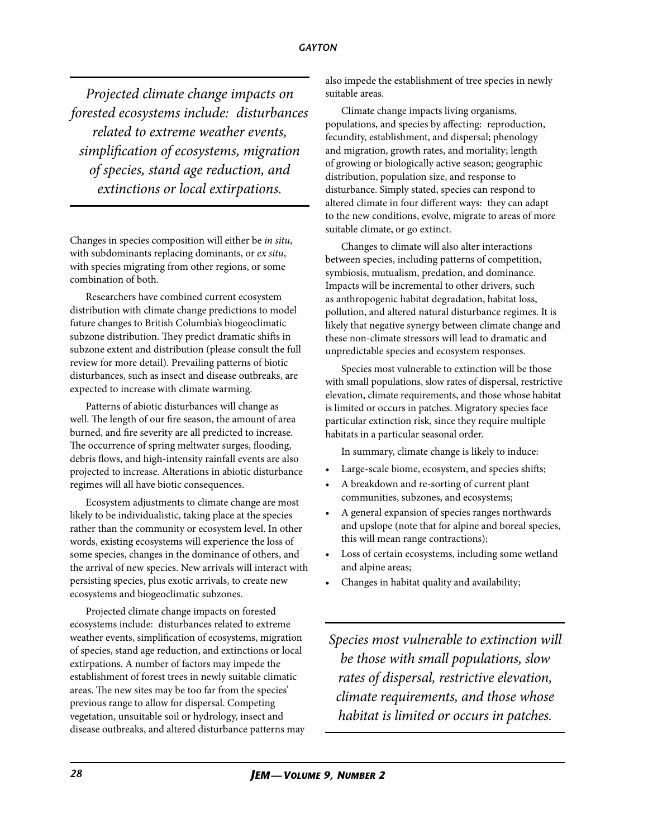#### *gayton*

*Projected climate change impacts on forested ecosystems include: disturbances related to extreme weather events, simplification of ecosystems, migration of species, stand age reduction, and extinctions or local extirpations.* 

Changes in species composition will either be *in situ*, with subdominants replacing dominants, or *ex situ*, with species migrating from other regions, or some combination of both.

Researchers have combined current ecosystem distribution with climate change predictions to model future changes to British Columbia's biogeoclimatic subzone distribution. They predict dramatic shifts in subzone extent and distribution (please consult the full review for more detail). Prevailing patterns of biotic disturbances, such as insect and disease outbreaks, are expected to increase with climate warming.

Patterns of abiotic disturbances will change as well. The length of our fire season, the amount of area burned, and fire severity are all predicted to increase. The occurrence of spring meltwater surges, flooding, debris flows, and high-intensity rainfall events are also projected to increase. Alterations in abiotic disturbance regimes will all have biotic consequences.

Ecosystem adjustments to climate change are most likely to be individualistic, taking place at the species rather than the community or ecosystem level. In other words, existing ecosystems will experience the loss of some species, changes in the dominance of others, and the arrival of new species. New arrivals will interact with persisting species, plus exotic arrivals, to create new ecosystems and biogeoclimatic subzones.

Projected climate change impacts on forested ecosystems include: disturbances related to extreme weather events, simplification of ecosystems, migration of species, stand age reduction, and extinctions or local extirpations. A number of factors may impede the establishment of forest trees in newly suitable climatic areas. The new sites may be too far from the species' previous range to allow for dispersal. Competing vegetation, unsuitable soil or hydrology, insect and disease outbreaks, and altered disturbance patterns may

also impede the establishment of tree species in newly suitable areas.

Climate change impacts living organisms, populations, and species by affecting: reproduction, fecundity, establishment, and dispersal; phenology and migration, growth rates, and mortality; length of growing or biologically active season; geographic distribution, population size, and response to disturbance. Simply stated, species can respond to altered climate in four different ways: they can adapt to the new conditions, evolve, migrate to areas of more suitable climate, or go extinct.

Changes to climate will also alter interactions between species, including patterns of competition, symbiosis, mutualism, predation, and dominance. Impacts will be incremental to other drivers, such as anthropogenic habitat degradation, habitat loss, pollution, and altered natural disturbance regimes. It is likely that negative synergy between climate change and these non-climate stressors will lead to dramatic and unpredictable species and ecosystem responses.

Species most vulnerable to extinction will be those with small populations, slow rates of dispersal, restrictive elevation, climate requirements, and those whose habitat is limited or occurs in patches. Migratory species face particular extinction risk, since they require multiple habitats in a particular seasonal order.

In summary, climate change is likely to induce:

- Large-scale biome, ecosystem, and species shifts;
- A breakdown and re-sorting of current plant communities, subzones, and ecosystems;
- A general expansion of species ranges northwards and upslope (note that for alpine and boreal species, this will mean range contractions);
- Loss of certain ecosystems, including some wetland and alpine areas;
- Changes in habitat quality and availability;

*Species most vulnerable to extinction will be those with small populations, slow rates of dispersal, restrictive elevation, climate requirements, and those whose habitat is limited or occurs in patches.*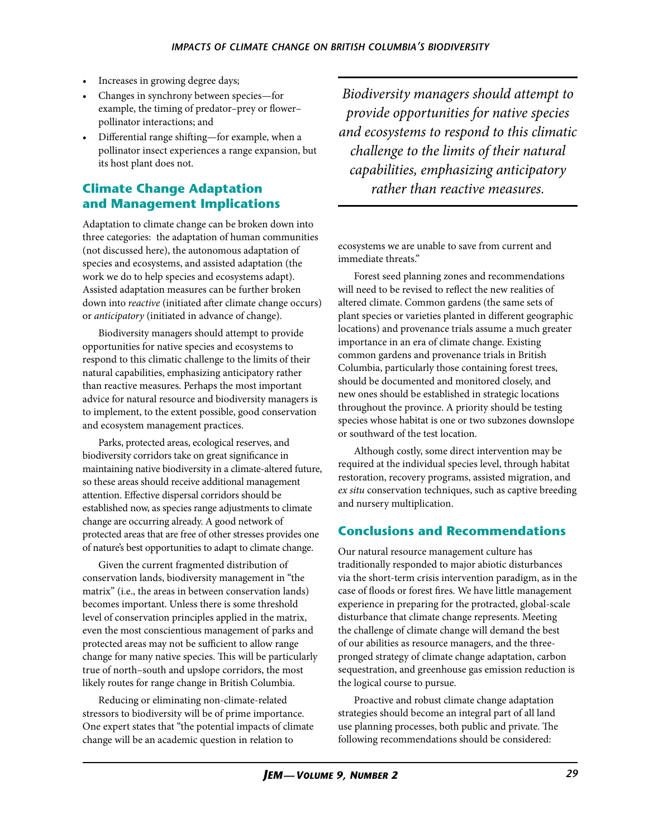- Increases in growing degree days;
- Changes in synchrony between species—for example, the timing of predator–prey or flower– pollinator interactions; and
- Differential range shifting—for example, when a pollinator insect experiences a range expansion, but its host plant does not.

# **Climate Change Adaptation and Management Implications**

Adaptation to climate change can be broken down into three categories: the adaptation of human communities (not discussed here), the autonomous adaptation of species and ecosystems, and assisted adaptation (the work we do to help species and ecosystems adapt). Assisted adaptation measures can be further broken down into *reactive* (initiated after climate change occurs) or *anticipatory* (initiated in advance of change).

Biodiversity managers should attempt to provide opportunities for native species and ecosystems to respond to this climatic challenge to the limits of their natural capabilities, emphasizing anticipatory rather than reactive measures. Perhaps the most important advice for natural resource and biodiversity managers is to implement, to the extent possible, good conservation and ecosystem management practices.

Parks, protected areas, ecological reserves, and biodiversity corridors take on great significance in maintaining native biodiversity in a climate-altered future, so these areas should receive additional management attention. Effective dispersal corridors should be established now, as species range adjustments to climate change are occurring already. A good network of protected areas that are free of other stresses provides one of nature's best opportunities to adapt to climate change.

Given the current fragmented distribution of conservation lands, biodiversity management in "the matrix" (i.e., the areas in between conservation lands) becomes important. Unless there is some threshold level of conservation principles applied in the matrix, even the most conscientious management of parks and protected areas may not be sufficient to allow range change for many native species. This will be particularly true of north–south and upslope corridors, the most likely routes for range change in British Columbia.

Reducing or eliminating non-climate-related stressors to biodiversity will be of prime importance. One expert states that "the potential impacts of climate change will be an academic question in relation to

*Biodiversity managers should attempt to provide opportunities for native species and ecosystems to respond to this climatic challenge to the limits of their natural capabilities, emphasizing anticipatory rather than reactive measures.*

ecosystems we are unable to save from current and immediate threats."

Forest seed planning zones and recommendations will need to be revised to reflect the new realities of altered climate. Common gardens (the same sets of plant species or varieties planted in different geographic locations) and provenance trials assume a much greater importance in an era of climate change. Existing common gardens and provenance trials in British Columbia, particularly those containing forest trees, should be documented and monitored closely, and new ones should be established in strategic locations throughout the province. A priority should be testing species whose habitat is one or two subzones downslope or southward of the test location.

Although costly, some direct intervention may be required at the individual species level, through habitat restoration, recovery programs, assisted migration, and *ex situ* conservation techniques, such as captive breeding and nursery multiplication.

# **Conclusions and Recommendations**

Our natural resource management culture has traditionally responded to major abiotic disturbances via the short-term crisis intervention paradigm, as in the case of floods or forest fires. We have little management experience in preparing for the protracted, global-scale disturbance that climate change represents. Meeting the challenge of climate change will demand the best of our abilities as resource managers, and the threepronged strategy of climate change adaptation, carbon sequestration, and greenhouse gas emission reduction is the logical course to pursue.

Proactive and robust climate change adaptation strategies should become an integral part of all land use planning processes, both public and private. The following recommendations should be considered: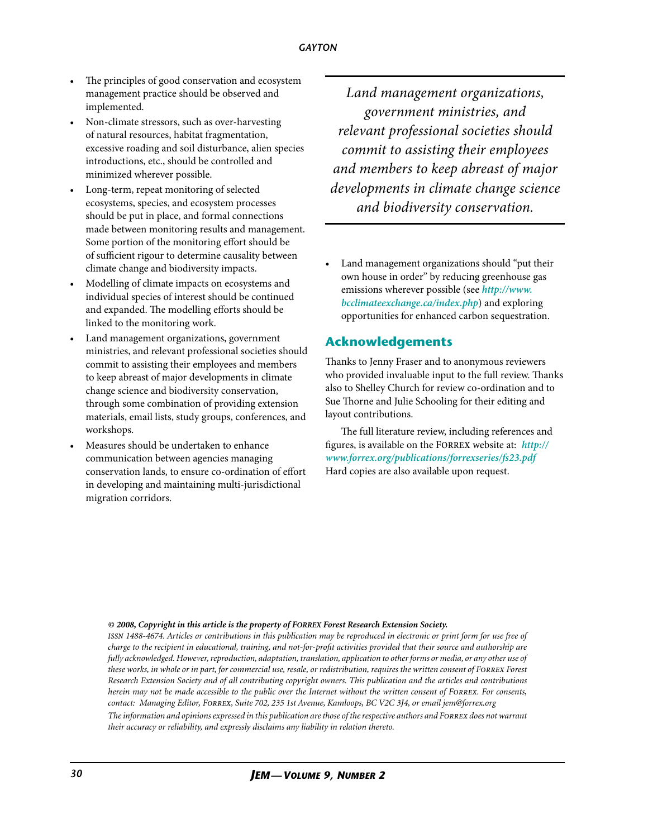- The principles of good conservation and ecosystem management practice should be observed and implemented.
- Non-climate stressors, such as over-harvesting of natural resources, habitat fragmentation, excessive roading and soil disturbance, alien species introductions, etc., should be controlled and minimized wherever possible.
- Long-term, repeat monitoring of selected ecosystems, species, and ecosystem processes should be put in place, and formal connections made between monitoring results and management. Some portion of the monitoring effort should be of sufficient rigour to determine causality between climate change and biodiversity impacts.
- Modelling of climate impacts on ecosystems and individual species of interest should be continued and expanded. The modelling efforts should be linked to the monitoring work.
- Land management organizations, government ministries, and relevant professional societies should commit to assisting their employees and members to keep abreast of major developments in climate change science and biodiversity conservation, through some combination of providing extension materials, email lists, study groups, conferences, and workshops.
- Measures should be undertaken to enhance communication between agencies managing conservation lands, to ensure co-ordination of effort in developing and maintaining multi-jurisdictional migration corridors.

*Land management organizations, government ministries, and relevant professional societies should commit to assisting their employees and members to keep abreast of major developments in climate change science and biodiversity conservation.*

Land management organizations should "put their own house in order" by reducing greenhouse gas emissions wherever possible (see *[http://www.](http://www.bcclimateexchange.ca/index.php) [bcclimateexchange.ca/index.php](http://www.bcclimateexchange.ca/index.php)*) and exploring opportunities for enhanced carbon sequestration.

#### **Acknowledgements**

Thanks to Jenny Fraser and to anonymous reviewers who provided invaluable input to the full review. Thanks also to Shelley Church for review co-ordination and to Sue Thorne and Julie Schooling for their editing and layout contributions.

The full literature review, including references and figures, is available on the Forrex website at: *[http://](http://www.forrex.org/publications/forrexseries/fs23.pdf) [www.forrex.org/publications/forrexseries/fs23.pdf](http://www.forrex.org/publications/forrexseries/fs23.pdf)* Hard copies are also available upon request.

#### *© 2008, Copyright in this article is the property of Forrex Forest Research Extension Society.*

*their accuracy or reliability, and expressly disclaims any liability in relation thereto.*

*issn 1488-4674. Articles or contributions in this publication may be reproduced in electronic or print form for use free of charge to the recipient in educational, training, and not-for-profit activities provided that their source and authorship are fully acknowledged. However, reproduction, adaptation, translation, application to other forms or media, or any other use of these works, in whole or in part, for commercial use, resale, or redistribution, requires the written consent of Forrex Forest Research Extension Society and of all contributing copyright owners. This publication and the articles and contributions herein may not be made accessible to the public over the Internet without the written consent of FORREX. For consents, contact: Managing Editor, Forrex, Suite 702, 235 1st Avenue, Kamloops, BC V2C 3J4, or email [jem@forrex.org](mailto:jem@forrex.org) The information and opinions expressed in this publication are those of the respective authors and Forrex does not warrant*